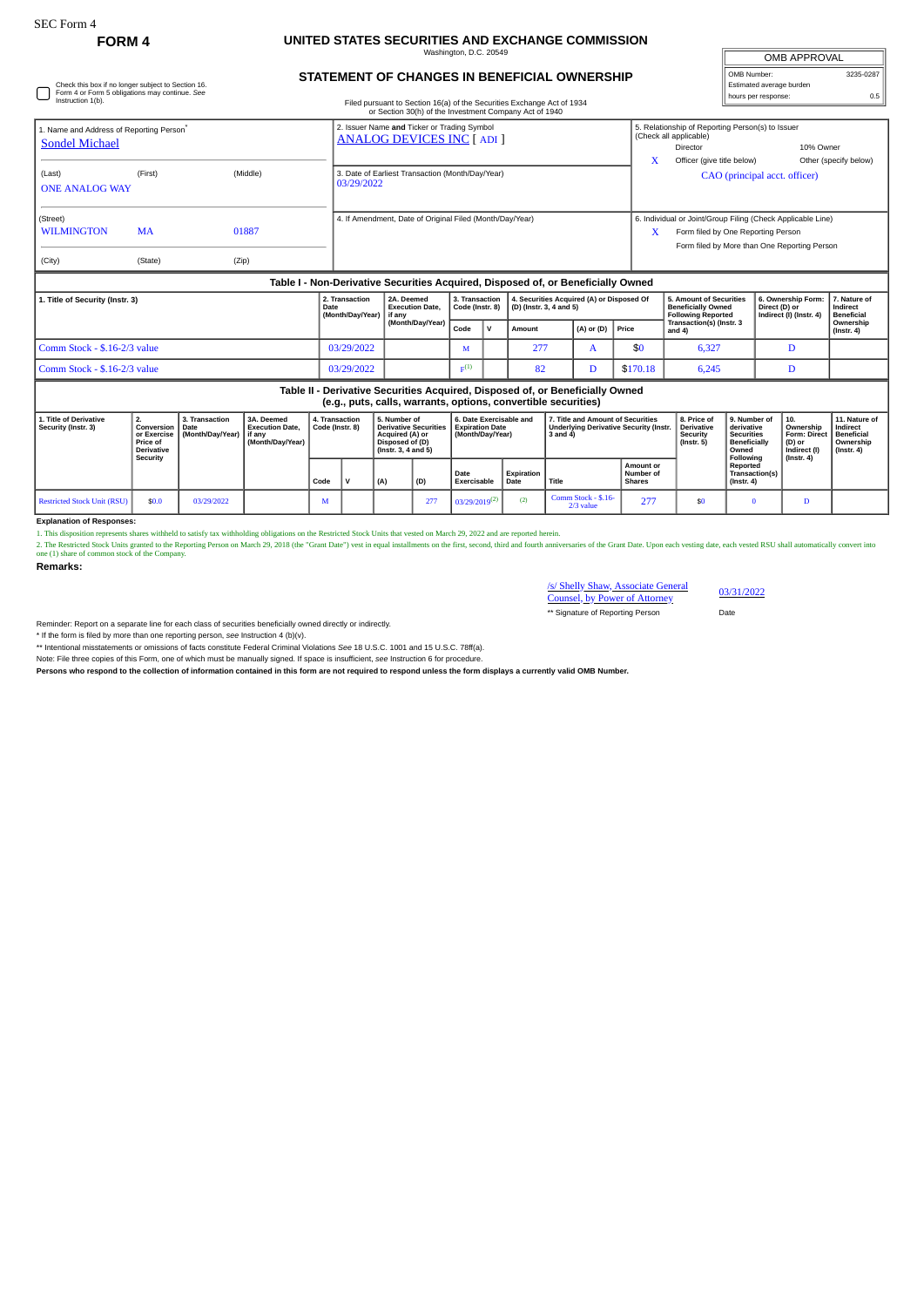Check this box if no longer subject to Section 16. Form 4 or Form 5 obligations may continue. *See* Instruction 1(b).

## **FORM 4 UNITED STATES SECURITIES AND EXCHANGE COMMISSION** Washington, D.C. 20549

| <b>OMB APPROVAL</b>      |           |
|--------------------------|-----------|
| OMB Number:              | 3235-0287 |
| Estimated average burden |           |
| hours per response:      | n 5       |

## **STATEMENT OF CHANGES IN BENEFICIAL OWNERSHIP**

Filed pursuant to Section 16(a) of the Securities Exchange Act of 1934

| 1. Name and Address of Reporting Person <sup>®</sup><br><b>Sondel Michael</b> |                     | 2. Issuer Name and Ticker or Trading Symbol<br><b>ANALOG DEVICES INC [ADI]</b>            | 5. Relationship of Reporting Person(s) to Issuer<br>(Check all applicable)<br>10% Owner<br>Director                                                    |
|-------------------------------------------------------------------------------|---------------------|-------------------------------------------------------------------------------------------|--------------------------------------------------------------------------------------------------------------------------------------------------------|
| (Last)<br><b>ONE ANALOG WAY</b>                                               | (Middle)<br>(First) | 3. Date of Earliest Transaction (Month/Day/Year)<br>03/29/2022                            | Officer (give title below)<br>Other (specify below)<br>CAO (principal acct. officer)                                                                   |
| (Street)<br><b>WILMINGTON</b><br><b>MA</b><br>01887                           |                     | 4. If Amendment, Date of Original Filed (Month/Day/Year)                                  | 6. Individual or Joint/Group Filing (Check Applicable Line)<br>X<br>Form filed by One Reporting Person<br>Form filed by More than One Reporting Person |
| (City)                                                                        | (State)<br>(Zip)    | Telefa L. Mais Davissative Canonities, Anguined, Disponent of an Departicially Organizati |                                                                                                                                                        |

| Table I - Non-Derivative Securities Acquired, Disposed of, or Beneficially Owned |            |                                                                   |                    |  |                                                                                                      |                    |          |                                                                                   |                                                                |                                               |  |
|----------------------------------------------------------------------------------|------------|-------------------------------------------------------------------|--------------------|--|------------------------------------------------------------------------------------------------------|--------------------|----------|-----------------------------------------------------------------------------------|----------------------------------------------------------------|-----------------------------------------------|--|
| 1. Title of Security (Instr. 3)                                                  |            | 2A. Deemed<br><b>Execution Date.</b><br>(Month/Dav/Year) I if any | 3. Transaction     |  | 4. Securities Acquired (A) or Disposed Of<br>$\vert$ Code (Instr. 8) $\vert$ (D) (Instr. 3, 4 and 5) |                    |          | 5. Amount of Securities<br><b>Beneficially Owned</b><br><b>Following Reported</b> | 6. Ownership Form:<br>Direct (D) or<br>Indirect (I) (Instr. 4) | 7. Nature of<br>Indirect<br><b>Beneficial</b> |  |
|                                                                                  |            | (Month/Day/Year)                                                  | Code               |  | Amount                                                                                               | $(A)$ or (D) Price |          | Transaction(s) (Instr. 3<br>and 4                                                 |                                                                | Ownership<br>$($ lnstr, 4 $)$                 |  |
| Comm Stock - \$.16-2/3 value                                                     | 03/29/2022 |                                                                   |                    |  | 277                                                                                                  |                    | \$0      | 6.327                                                                             |                                                                |                                               |  |
| Comm Stock - \$.16-2/3 value                                                     | 03/29/2022 |                                                                   | $\mathbf{E}^{(1)}$ |  | 82                                                                                                   |                    | \$170.18 | 6,245                                                                             |                                                                |                                               |  |

## **Table II - Derivative Securities Acquired, Disposed of, or Beneficially Owned (e.g., puts, calls, warrants, options, convertible securities)**

|                                               | loidii baroi omioi mmimioi obrioiloi oominimo ocominico) |                                                                                               |                                      |                                                                      |                                   |  |                                                                                                          |     |                                                                       |                    |                                                                                         |                                                |                                                                  |                                                                          |                                                            |                                                                           |
|-----------------------------------------------|----------------------------------------------------------|-----------------------------------------------------------------------------------------------|--------------------------------------|----------------------------------------------------------------------|-----------------------------------|--|----------------------------------------------------------------------------------------------------------|-----|-----------------------------------------------------------------------|--------------------|-----------------------------------------------------------------------------------------|------------------------------------------------|------------------------------------------------------------------|--------------------------------------------------------------------------|------------------------------------------------------------|---------------------------------------------------------------------------|
| 1. Title of Derivative<br>Security (Instr. 3) |                                                          | <b>Conversion   Date</b><br>or Exercise I<br><b>Price of</b><br><b>Derivative</b><br>Security | 3. Transaction<br>  (Month/Day/Year) | 3A. Deemed<br><b>Execution Date.</b><br>l if anv<br>(Month/Dav/Year) | 4. Transaction<br>Code (Instr. 8) |  | 5. Number of<br>Derivative Securities<br>Acquired (A) or<br>Disposed of (D)<br>$($ lnstr. 3. 4 and 5 $)$ |     | 6. Date Exercisable and<br><b>Expiration Date</b><br>(Month/Dav/Year) |                    | 7. Title and Amount of Securities<br>Underlying Derivative Security (Instr.<br>3 and 4) |                                                | 8. Price of<br><b>Derivative</b><br>Security<br>$($ Instr. 5 $)$ | 9. Number of<br>derivative<br>Securities<br><b>Beneficially</b><br>Owned | 10.<br>Ownership<br>Form: Direct<br>(D) or<br>Indirect (I) | 11. Nature of<br>Indirect<br><b>Beneficial</b><br>Ownership<br>(Instr. 4) |
|                                               |                                                          |                                                                                               |                                      |                                                                      | Code                              |  | (A)                                                                                                      | (D) | Date<br>Exercisable                                                   | Expiration<br>Date | Title                                                                                   | <b>Amount or</b><br>Number of<br><b>Shares</b> |                                                                  | Following<br>Reported<br>Transaction(s)<br>$($ lnstr. 4 $)$              | $($ lnstr, 4 $)$                                           |                                                                           |
|                                               | Restricted Stock Unit (RSU)                              | \$0.0                                                                                         | 03/29/2022                           |                                                                      | <b>IVI</b>                        |  |                                                                                                          | 277 | $03/29/2019^{(2)}$                                                    | (2)                | Comm Stock - \$.16-<br>2/3 value                                                        | 277                                            | \$Ō                                                              |                                                                          |                                                            |                                                                           |

## **Explanation of Responses:**

1. This disposition represents shares withheld to satisfy tax withholding obligations on the Restricted Stock Units that vested on March 29, 2022 and are reported herein.<br>2. The Restricted Stock Units granted to the Compan

**Remarks:**

| /s/ Shelly Shaw, Associate General   |  |
|--------------------------------------|--|
| <b>Counsel, by Power of Attorney</b> |  |

\*\* Signature of Reporting Person Date

03/31/2022

Reminder: Report on a separate line for each class of securities beneficially owned directly or indirectly.

\* If the form is filed by more than one reporting person, *see* Instruction 4 (b)(v).

\*\* Intentional misstatements or omissions of facts constitute Federal Criminal Violations See 18 U.S.C. 1001 and 15 U.S.C. 78ff(a).<br>Note: File three copies of this Form, one of which must be manually signed. If space is in

**Persons who respond to the collection of information contained in this form are not required to respond unless the form displays a currently valid OMB Number.**